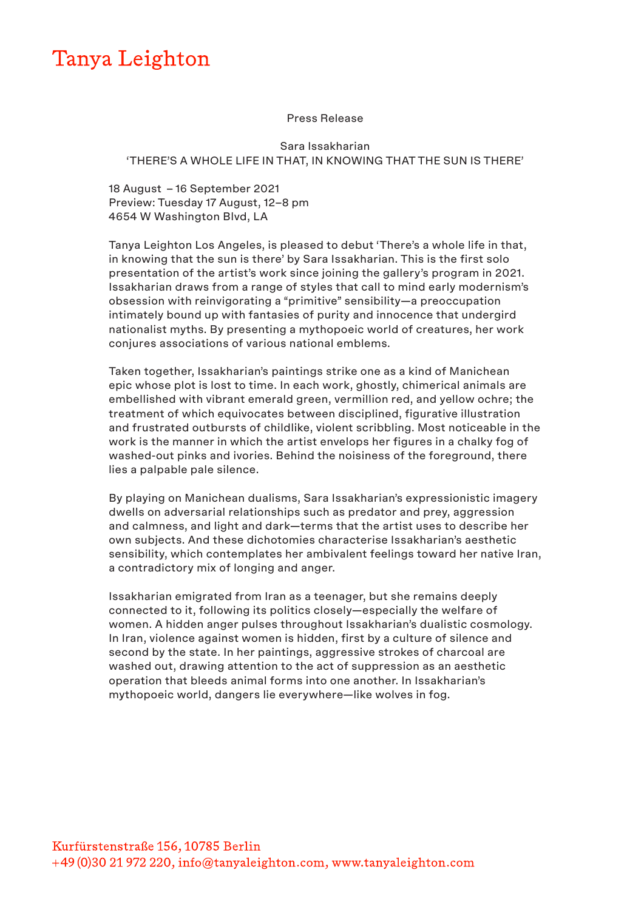## Tanya Leighton

## Press Release

## Sara Issakharian 'THERE'S A WHOLE LIFE IN THAT, IN KNOWING THAT THE SUN IS THERE'

18 August – 16 September 2021 Preview: Tuesday 17 August, 12–8 pm 4654 W Washington Blvd, LA

Tanya Leighton Los Angeles, is pleased to debut 'There's a whole life in that, in knowing that the sun is there' by Sara Issakharian. This is the first solo presentation of the artist's work since joining the gallery's program in 2021. Issakharian draws from a range of styles that call to mind early modernism's obsession with reinvigorating a "primitive" sensibility—a preoccupation intimately bound up with fantasies of purity and innocence that undergird nationalist myths. By presenting a mythopoeic world of creatures, her work conjures associations of various national emblems.

Taken together, Issakharian's paintings strike one as a kind of Manichean epic whose plot is lost to time. In each work, ghostly, chimerical animals are embellished with vibrant emerald green, vermillion red, and yellow ochre; the treatment of which equivocates between disciplined, figurative illustration and frustrated outbursts of childlike, violent scribbling. Most noticeable in the work is the manner in which the artist envelops her figures in a chalky fog of washed-out pinks and ivories. Behind the noisiness of the foreground, there lies a palpable pale silence.

By playing on Manichean dualisms, Sara Issakharian's expressionistic imagery dwells on adversarial relationships such as predator and prey, aggression and calmness, and light and dark—terms that the artist uses to describe her own subjects. And these dichotomies characterise Issakharian's aesthetic sensibility, which contemplates her ambivalent feelings toward her native Iran, a contradictory mix of longing and anger.

Issakharian emigrated from Iran as a teenager, but she remains deeply connected to it, following its politics closely—especially the welfare of women. A hidden anger pulses throughout Issakharian's dualistic cosmology. In Iran, violence against women is hidden, first by a culture of silence and second by the state. In her paintings, aggressive strokes of charcoal are washed out, drawing attention to the act of suppression as an aesthetic operation that bleeds animal forms into one another. In Issakharian's mythopoeic world, dangers lie everywhere—like wolves in fog.